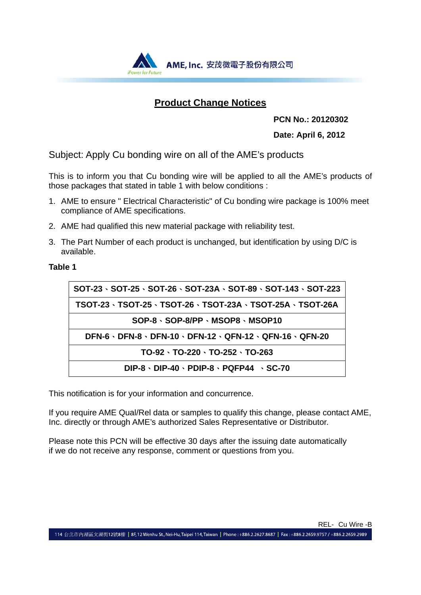

## **Product Change Notices**

 **PCN No.: 20120302** 

**Date: April 6, 2012**

Subject: Apply Cu bonding wire on all of the AME's products

This is to inform you that Cu bonding wire will be applied to all the AME's products of those packages that stated in table 1 with below conditions :

- 1. AME to ensure " Electrical Characteristic" of Cu bonding wire package is 100% meet compliance of AME specifications.
- 2. AME had qualified this new material package with reliability test.
- 3. The Part Number of each product is unchanged, but identification by using D/C is available.

**Table 1** 

| $SOT-23 \cdot SOT-25 \cdot SOT-26 \cdot SOT-23A \cdot SOT-89 \cdot SOT-143 \cdot SOT-223$ |
|-------------------------------------------------------------------------------------------|
| TSOT-23、TSOT-25、TSOT-26、TSOT-23A、TSOT-25A、TSOT-26A                                        |
| $SOP-8 \cdot SOP-8/PP \cdot MSOP8 \cdot MSOP10$                                           |
| DFN-6 · DFN-8 · DFN-10 · DFN-12 · QFN-12 · QFN-16 · QFN-20                                |
| $TO-92 \cdot TO-220 \cdot TO-252 \cdot TO-263$                                            |
| $DIP-8 \cdot DIP-40 \cdot PDIP-8 \cdot PQFP44 \cdot SC-70$                                |

This notification is for your information and concurrence.

If you require AME Qual/Rel data or samples to qualify this change, please contact AME, Inc. directly or through AME's authorized Sales Representative or Distributor.

Please note this PCN will be effective 30 days after the issuing date automatically if we do not receive any response, comment or questions from you.

114 台北市內湖區文湖街12號8樓 | 8F,12 Wenhu St., Nei-Hu, Taipei 114, Taiwan | Phone : +886.2.2627.8687 | Fax : +886.2.2659.9757 / +886.2.2659.2989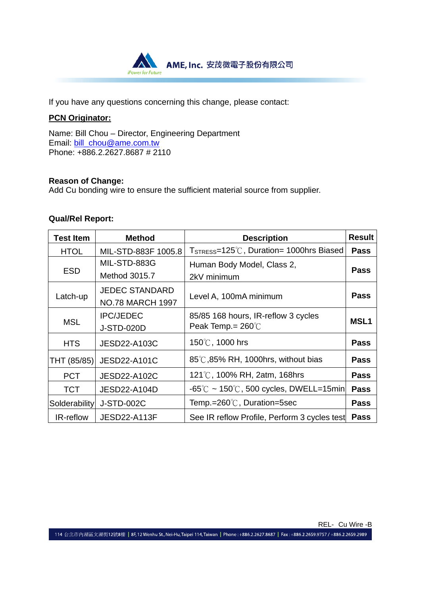

If you have any questions concerning this change, please contact:

### **PCN Originator:**

Name: Bill Chou – Director, Engineering Department Email: bill\_chou@ame.com.tw Phone: +886.2.2627.8687 # 2110

#### **Reason of Change:**

Add Cu bonding wire to ensure the sufficient material source from supplier.

#### **Qual/Rel Report:**

| <b>Test Item</b> | <b>Method</b>                                    | <b>Result</b><br><b>Description</b>                                 |                  |
|------------------|--------------------------------------------------|---------------------------------------------------------------------|------------------|
| <b>HTOL</b>      | MIL-STD-883F 1005.8                              | T <sub>STRESS</sub> =125°C, Duration= 1000hrs Biased                | <b>Pass</b>      |
| <b>ESD</b>       | MIL-STD-883G<br>Method 3015.7                    | Human Body Model, Class 2,<br>2kV minimum                           | <b>Pass</b>      |
| Latch-up         | <b>JEDEC STANDARD</b><br><b>NO.78 MARCH 1997</b> | Level A, 100mA minimum                                              | <b>Pass</b>      |
| <b>MSL</b>       | <b>IPC/JEDEC</b><br><b>J-STD-020D</b>            | 85/85 168 hours, IR-reflow 3 cycles<br>Peak Temp. = $260^{\circ}$ C | MSL <sub>1</sub> |
| <b>HTS</b>       | JESD22-A103C                                     | 150℃, 1000 hrs                                                      | <b>Pass</b>      |
| THT (85/85)      | <b>JESD22-A101C</b>                              | 85℃,85% RH, 1000hrs, without bias                                   | Pass             |
| <b>PCT</b>       | JESD22-A102C                                     | 121℃, 100% RH, 2atm, 168hrs                                         | <b>Pass</b>      |
| <b>TCT</b>       | JESD22-A104D                                     | $-65^{\circ}$ C ~ 150 $^{\circ}$ C, 500 cycles, DWELL=15min         | <b>Pass</b>      |
| Solderability    | <b>J-STD-002C</b>                                | Temp.=260℃, Duration=5sec                                           | <b>Pass</b>      |
| IR-reflow        | JESD22-A113F                                     | See IR reflow Profile, Perform 3 cycles test                        | <b>Pass</b>      |

REL- Cu Wire -B

114 台北市內湖區文湖街12號8樓 | 8F, 12 Wenhu St., Nei-Hu, Taipei 114, Taiwan | Phone: +886.2.2627.8687 | Fax: +886.2.2659.9757 / +886.2.2659.2989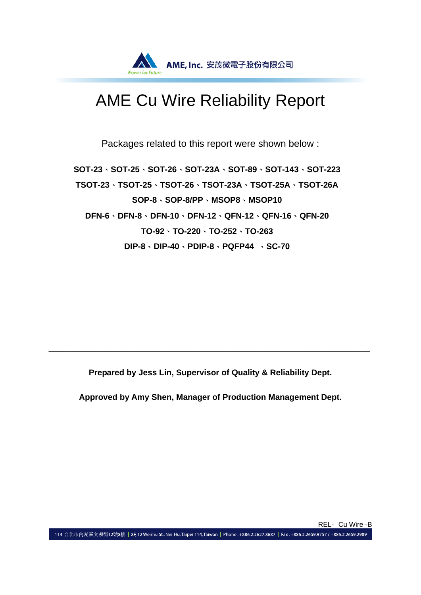

# AME Cu Wire Reliability Report

Packages related to this report were shown below :

**SOT-23**、**SOT-25**、**SOT-26**、**SOT-23A**、**SOT-89**、**SOT-143**、**SOT-223 TSOT-23**、**TSOT-25**、**TSOT-26**、**TSOT-23A**、**TSOT-25A**、**TSOT-26A SOP-8**、**SOP-8/PP**、**MSOP8**、**MSOP10 DFN-6**、**DFN-8**、**DFN-10**、**DFN-12**、**QFN-12**、**QFN-16**、**QFN-20 TO-92**、**TO-220**、**TO-252**、**TO-263 DIP-8**、**DIP-40**、**PDIP-8**、**PQFP44** 、**SC-70** 

**Prepared by Jess Lin, Supervisor of Quality & Reliability Dept.** 

\_\_\_\_\_\_\_\_\_\_\_\_\_\_\_\_\_\_\_\_\_\_\_\_\_\_\_\_\_\_\_\_\_\_\_\_\_\_\_\_\_\_\_\_\_\_\_\_\_\_\_\_\_\_\_\_\_\_\_\_\_\_\_\_\_\_\_\_\_\_

**Approved by Amy Shen, Manager of Production Management Dept.**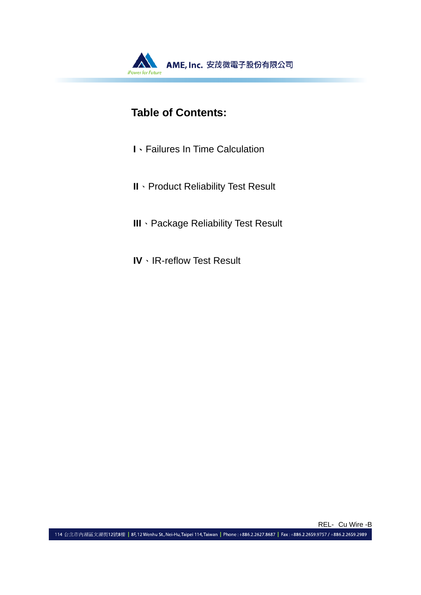

# **Table of Contents:**

- **I**、Failures In Time Calculation
- **II**、Product Reliability Test Result
- **III**、Package Reliability Test Result
- **IV**、IR-reflow Test Result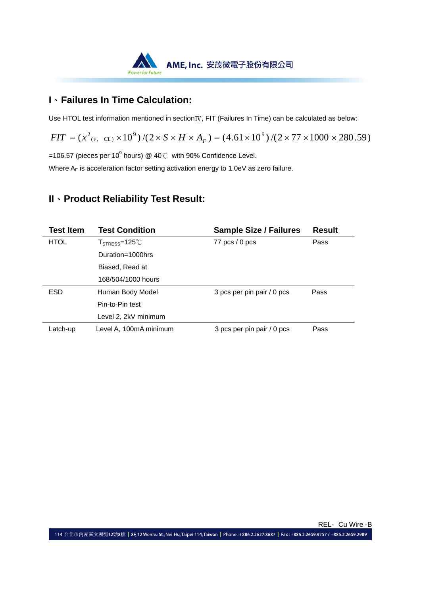

## **I**、**Failures In Time Calculation:**

Use HTOL test information mentioned in section<sub>IV</sub>, FIT (Failures In Time) can be calculated as below:

 $FIT = (x^2_{(v, CL)} \times 10^9) / (2 \times S \times H \times A_F) = (4.61 \times 10^9) / (2 \times 77 \times 1000 \times 280.59)$ 

=106.57 (pieces per 10<sup>9</sup> hours) @ 40℃ with 90% Confidence Level.

Where  $A_F$  is acceleration factor setting activation energy to 1.0eV as zero failure.

## **II**、**Product Reliability Test Result:**

| <b>Test Item</b> | <b>Test Condition</b>                                       | <b>Sample Size / Failures</b> | <b>Result</b> |
|------------------|-------------------------------------------------------------|-------------------------------|---------------|
| <b>HTOL</b>      | ${\sf T}_{\sf STRES}{\sf s}$ =125 $^{\circ}\!{\mathbb C}$ . | 77 $pcs/0$ pcs                | Pass          |
|                  | Duration=1000hrs                                            |                               |               |
|                  | Biased, Read at                                             |                               |               |
|                  | 168/504/1000 hours                                          |                               |               |
| <b>ESD</b>       | Human Body Model                                            | 3 pcs per pin pair / 0 pcs    | Pass          |
|                  | Pin-to-Pin test                                             |                               |               |
|                  | Level 2, 2kV minimum                                        |                               |               |
| Latch-up         | Level A, 100mA minimum                                      | 3 pcs per pin pair / 0 pcs    | Pass          |

REL- Cu Wire -B

114 台北市內湖區文湖街12號8樓 | 8F, 12 Wenhu St., Nei-Hu, Taipei 114, Taiwan | Phone: +886.2.2627.8687 | Fax: +886.2.2659.9757 / +886.2.2659.2989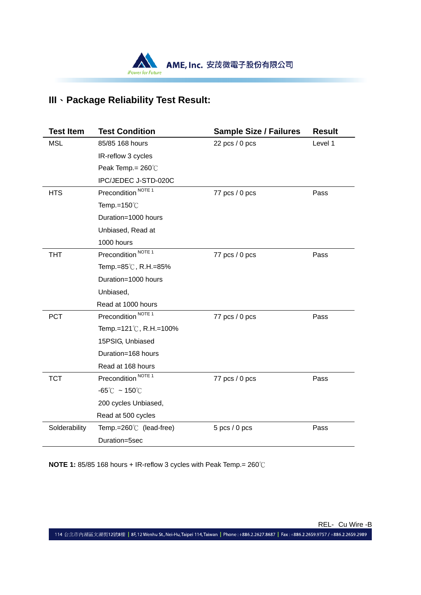

# **III**、**Package Reliability Test Result:**

| <b>Test Item</b> | <b>Test Condition</b>              | <b>Sample Size / Failures</b> | <b>Result</b> |
|------------------|------------------------------------|-------------------------------|---------------|
| <b>MSL</b>       | 85/85 168 hours                    | 22 pcs $/ 0$ pcs              | Level 1       |
|                  | IR-reflow 3 cycles                 |                               |               |
|                  | Peak Temp.= 260°C                  |                               |               |
|                  | IPC/JEDEC J-STD-020C               |                               |               |
| <b>HTS</b>       | Precondition <sup>NOTE 1</sup>     | 77 pcs / 0 pcs                | Pass          |
|                  | Temp.= $150^{\circ}$ C             |                               |               |
|                  | Duration=1000 hours                |                               |               |
|                  | Unbiased, Read at                  |                               |               |
|                  | 1000 hours                         |                               |               |
| <b>THT</b>       | Precondition <sup>NOTE 1</sup>     | 77 pcs / 0 pcs                | Pass          |
|                  | Temp.=85℃, R.H.=85%                |                               |               |
|                  | Duration=1000 hours                |                               |               |
|                  | Unbiased,                          |                               |               |
|                  | Read at 1000 hours                 |                               |               |
| <b>PCT</b>       | Precondition <sup>NOTE 1</sup>     | 77 pcs / 0 pcs                | Pass          |
|                  | Temp.=121℃, R.H.=100%              |                               |               |
|                  | 15PSIG, Unbiased                   |                               |               |
|                  | Duration=168 hours                 |                               |               |
|                  | Read at 168 hours                  |                               |               |
| <b>TCT</b>       | Precondition <sup>NOTE 1</sup>     | 77 pcs / 0 pcs                | Pass          |
|                  | $-65^{\circ}$ C ~ 150 $^{\circ}$ C |                               |               |
|                  | 200 cycles Unbiased,               |                               |               |
|                  | Read at 500 cycles                 |                               |               |
| Solderability    | Temp.= $260^{\circ}$ (lead-free)   | $5$ pcs $/ 0$ pcs             | Pass          |
|                  | Duration=5sec                      |                               |               |

**NOTE 1:** 85/85 168 hours + IR-reflow 3 cycles with Peak Temp.= 260℃

REL- Cu Wire -B

114 台北市內湖區文湖街12號8樓 | 8F,12 Wenhu St., Nei-Hu, Taipei 114, Taiwan | Phone : +886.2.2627.8687 | Fax : +886.2.2659.9757 / +886.2.2659.2989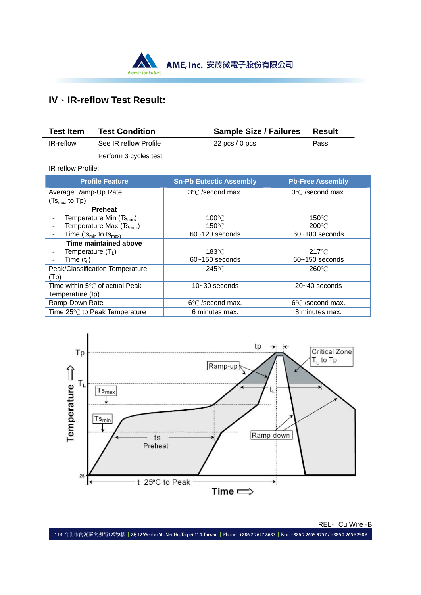

# **IV**、**IR-reflow Test Result:**

| <b>Test Item</b> | <b>Test Condition</b> | <b>Sample Size / Failures</b> | Result |
|------------------|-----------------------|-------------------------------|--------|
| IR-reflow        | See IR reflow Profile | $22$ pcs / 0 pcs              | Pass   |
|                  | Perform 3 cycles test |                               |        |

IR reflow Profile:

| <b>Profile Feature</b>                        | <b>Sn-Pb Eutectic Assembly</b> | <b>Pb-Free Assembly</b>    |
|-----------------------------------------------|--------------------------------|----------------------------|
| Average Ramp-Up Rate                          | 3°C /second max.               | 3°C /second max.           |
| $(Tsmax$ to Tp)                               |                                |                            |
| <b>Preheat</b>                                |                                |                            |
| Temperature Min (Ts <sub>min</sub> )          | $100^{\circ}$ C                | 150°C                      |
| Temperature Max (Ts <sub>max</sub> )          | $150^{\circ}$ C                | $200^{\circ}$ C            |
| Time (ts <sub>min</sub> to ts <sub>max)</sub> | $60 - 120$ seconds             | $60 - 180$ seconds         |
| Time maintained above                         |                                |                            |
| Temperature $(T_L)$                           | $183^{\circ}$ C                | $217^{\circ}$ C            |
| Time ( $t_L$ )                                | $60 - 150$ seconds             | $60 - 150$ seconds         |
| Peak/Classification Temperature               | $245^{\circ}$ C                | $260^{\circ}$ C            |
| (Tp)                                          |                                |                            |
| Time within 5°C of actual Peak                | 10~30 seconds                  | $20 - 40$ seconds          |
| Temperature (tp)                              |                                |                            |
| Ramp-Down Rate                                | $6^{\circ}$ C /second max.     | $6^{\circ}$ C /second max. |
| Time 25°℃ to Peak Temperature                 | 6 minutes max.                 | 8 minutes max.             |



REL- Cu Wire -B

114 台北市內湖區文湖街12號8樓 | 8F,12 Wenhu St., Nei-Hu, Taipei 114, Taiwan | Phone : +886.2.2627.8687 | Fax : +886.2.2659.9757 / +886.2.2659.2989